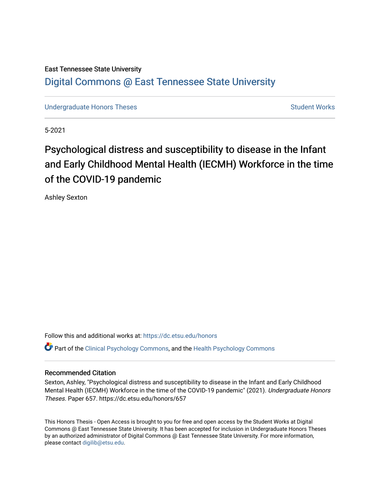## East Tennessee State University [Digital Commons @ East Tennessee State University](https://dc.etsu.edu/)

[Undergraduate Honors Theses](https://dc.etsu.edu/honors) [Student Works](https://dc.etsu.edu/student-works) Student Works

5-2021

# Psychological distress and susceptibility to disease in the Infant and Early Childhood Mental Health (IECMH) Workforce in the time of the COVID-19 pandemic

Ashley Sexton

Follow this and additional works at: [https://dc.etsu.edu/honors](https://dc.etsu.edu/honors?utm_source=dc.etsu.edu%2Fhonors%2F657&utm_medium=PDF&utm_campaign=PDFCoverPages)

Part of the [Clinical Psychology Commons,](http://network.bepress.com/hgg/discipline/406?utm_source=dc.etsu.edu%2Fhonors%2F657&utm_medium=PDF&utm_campaign=PDFCoverPages) and the [Health Psychology Commons](http://network.bepress.com/hgg/discipline/411?utm_source=dc.etsu.edu%2Fhonors%2F657&utm_medium=PDF&utm_campaign=PDFCoverPages) 

#### Recommended Citation

Sexton, Ashley, "Psychological distress and susceptibility to disease in the Infant and Early Childhood Mental Health (IECMH) Workforce in the time of the COVID-19 pandemic" (2021). Undergraduate Honors Theses. Paper 657. https://dc.etsu.edu/honors/657

This Honors Thesis - Open Access is brought to you for free and open access by the Student Works at Digital Commons @ East Tennessee State University. It has been accepted for inclusion in Undergraduate Honors Theses by an authorized administrator of Digital Commons @ East Tennessee State University. For more information, please contact [digilib@etsu.edu.](mailto:digilib@etsu.edu)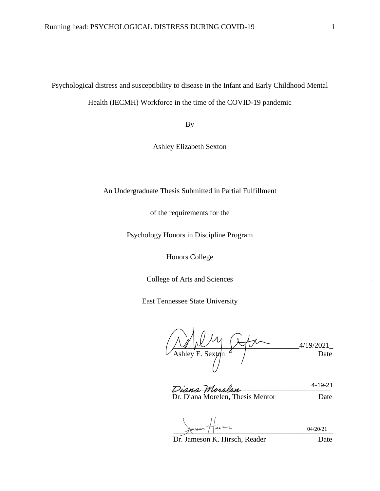Psychological distress and susceptibility to disease in the Infant and Early Childhood Mental

Health (IECMH) Workforce in the time of the COVID-19 pandemic

By

Ashley Elizabeth Sexton

An Undergraduate Thesis Submitted in Partial Fulfillment

of the requirements for the

Psychology Honors in Discipline Program

Honors College

College of Arts and Sciences

East Tennessee State University

\_\_\_\_\_\_\_\_\_\_\_\_\_\_\_\_\_\_\_\_\_\_\_\_\_\_\_\_\_\_\_\_\_\_4/19/2021\_ Ashley E. Sexton  $\theta$  / Date

Diana Morelen Dr. Diana Morelen, Thesis Mentor Date 4-19-21

 $\frac{1}{2}$  and  $\frac{1}{2}$  and  $\frac{1}{2}$  and  $\frac{1}{2}$  and  $\frac{1}{2}$  and  $\frac{1}{2}$  and  $\frac{1}{2}$  and  $\frac{1}{2}$  and  $\frac{1}{2}$  and  $\frac{1}{2}$  and  $\frac{1}{2}$  and  $\frac{1}{2}$  and  $\frac{1}{2}$  and  $\frac{1}{2}$  and  $\frac{1}{2}$  and  $\frac{1}{2}$  a 04/20/21

Dr. Jameson K. Hirsch, Reader Date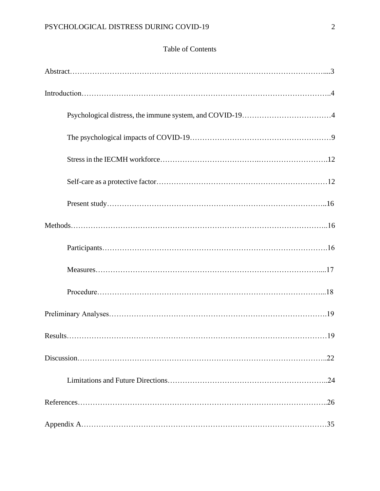### Table of Contents

| 22 |
|----|
|    |
|    |
|    |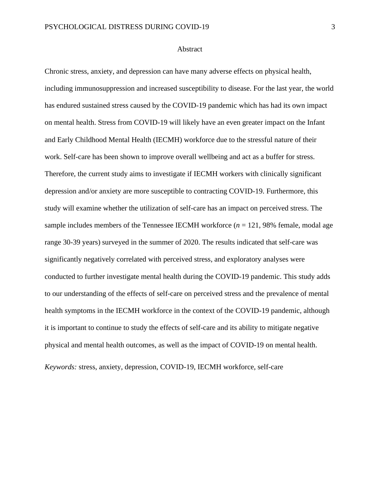#### Abstract

Chronic stress, anxiety, and depression can have many adverse effects on physical health, including immunosuppression and increased susceptibility to disease. For the last year, the world has endured sustained stress caused by the COVID-19 pandemic which has had its own impact on mental health. Stress from COVID-19 will likely have an even greater impact on the Infant and Early Childhood Mental Health (IECMH) workforce due to the stressful nature of their work. Self-care has been shown to improve overall wellbeing and act as a buffer for stress. Therefore, the current study aims to investigate if IECMH workers with clinically significant depression and/or anxiety are more susceptible to contracting COVID-19. Furthermore, this study will examine whether the utilization of self-care has an impact on perceived stress. The sample includes members of the Tennessee IECMH workforce  $(n = 121, 98\%$  female, modal age range 30-39 years) surveyed in the summer of 2020. The results indicated that self-care was significantly negatively correlated with perceived stress, and exploratory analyses were conducted to further investigate mental health during the COVID-19 pandemic. This study adds to our understanding of the effects of self-care on perceived stress and the prevalence of mental health symptoms in the IECMH workforce in the context of the COVID-19 pandemic, although it is important to continue to study the effects of self-care and its ability to mitigate negative physical and mental health outcomes, as well as the impact of COVID-19 on mental health.

*Keywords:* stress, anxiety, depression, COVID-19, IECMH workforce, self-care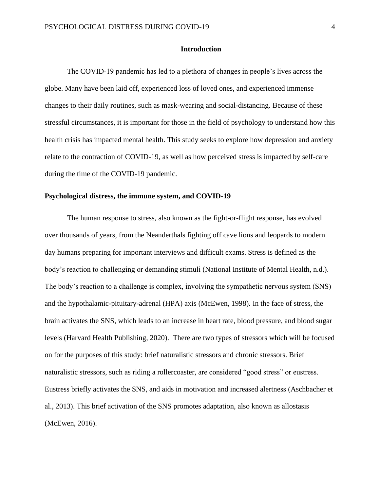#### **Introduction**

The COVID-19 pandemic has led to a plethora of changes in people's lives across the globe. Many have been laid off, experienced loss of loved ones, and experienced immense changes to their daily routines, such as mask-wearing and social-distancing. Because of these stressful circumstances, it is important for those in the field of psychology to understand how this health crisis has impacted mental health. This study seeks to explore how depression and anxiety relate to the contraction of COVID-19, as well as how perceived stress is impacted by self-care during the time of the COVID-19 pandemic.

#### **Psychological distress, the immune system, and COVID-19**

The human response to stress, also known as the fight-or-flight response, has evolved over thousands of years, from the Neanderthals fighting off cave lions and leopards to modern day humans preparing for important interviews and difficult exams. Stress is defined as the body's reaction to challenging or demanding stimuli (National Institute of Mental Health, n.d.). The body's reaction to a challenge is complex, involving the sympathetic nervous system (SNS) and the hypothalamic-pituitary-adrenal (HPA) axis (McEwen, 1998). In the face of stress, the brain activates the SNS, which leads to an increase in heart rate, blood pressure, and blood sugar levels (Harvard Health Publishing, 2020). There are two types of stressors which will be focused on for the purposes of this study: brief naturalistic stressors and chronic stressors. Brief naturalistic stressors, such as riding a rollercoaster, are considered "good stress" or eustress. Eustress briefly activates the SNS, and aids in motivation and increased alertness (Aschbacher et al., 2013). This brief activation of the SNS promotes adaptation, also known as allostasis (McEwen, 2016).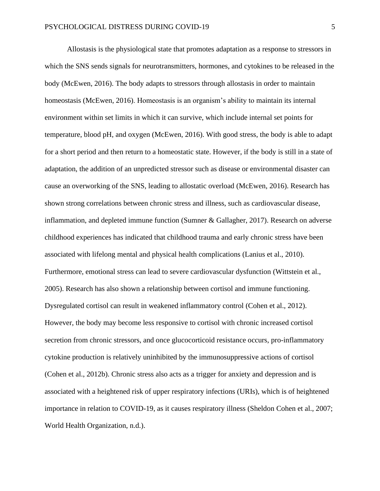Allostasis is the physiological state that promotes adaptation as a response to stressors in which the SNS sends signals for neurotransmitters, hormones, and cytokines to be released in the body (McEwen, 2016). The body adapts to stressors through allostasis in order to maintain homeostasis (McEwen, 2016). Homeostasis is an organism's ability to maintain its internal environment within set limits in which it can survive, which include internal set points for temperature, blood pH, and oxygen (McEwen, 2016). With good stress, the body is able to adapt for a short period and then return to a homeostatic state. However, if the body is still in a state of adaptation, the addition of an unpredicted stressor such as disease or environmental disaster can cause an overworking of the SNS, leading to allostatic overload (McEwen, 2016). Research has shown strong correlations between chronic stress and illness, such as cardiovascular disease, inflammation, and depleted immune function (Sumner & Gallagher, 2017). Research on adverse childhood experiences has indicated that childhood trauma and early chronic stress have been associated with lifelong mental and physical health complications (Lanius et al., 2010). Furthermore, emotional stress can lead to severe cardiovascular dysfunction (Wittstein et al., 2005). Research has also shown a relationship between cortisol and immune functioning. Dysregulated cortisol can result in weakened inflammatory control (Cohen et al., 2012). However, the body may become less responsive to cortisol with chronic increased cortisol secretion from chronic stressors, and once glucocorticoid resistance occurs, pro-inflammatory cytokine production is relatively uninhibited by the immunosuppressive actions of cortisol (Cohen et al., 2012b). Chronic stress also acts as a trigger for anxiety and depression and is associated with a heightened risk of upper respiratory infections (URIs), which is of heightened importance in relation to COVID-19, as it causes respiratory illness (Sheldon Cohen et al., 2007; World Health Organization, n.d.).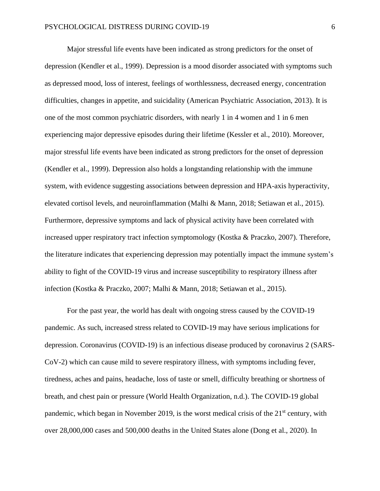Major stressful life events have been indicated as strong predictors for the onset of depression (Kendler et al., 1999). Depression is a mood disorder associated with symptoms such as depressed mood, loss of interest, feelings of worthlessness, decreased energy, concentration difficulties, changes in appetite, and suicidality (American Psychiatric Association, 2013). It is one of the most common psychiatric disorders, with nearly 1 in 4 women and 1 in 6 men experiencing major depressive episodes during their lifetime (Kessler et al., 2010). Moreover, major stressful life events have been indicated as strong predictors for the onset of depression (Kendler et al., 1999). Depression also holds a longstanding relationship with the immune system, with evidence suggesting associations between depression and HPA-axis hyperactivity, elevated cortisol levels, and neuroinflammation (Malhi & Mann, 2018; Setiawan et al., 2015). Furthermore, depressive symptoms and lack of physical activity have been correlated with increased upper respiratory tract infection symptomology (Kostka & Praczko, 2007). Therefore, the literature indicates that experiencing depression may potentially impact the immune system's ability to fight of the COVID-19 virus and increase susceptibility to respiratory illness after infection (Kostka & Praczko, 2007; Malhi & Mann, 2018; Setiawan et al., 2015).

For the past year, the world has dealt with ongoing stress caused by the COVID-19 pandemic. As such, increased stress related to COVID-19 may have serious implications for depression. Coronavirus (COVID-19) is an infectious disease produced by coronavirus 2 (SARS-CoV-2) which can cause mild to severe respiratory illness, with symptoms including fever, tiredness, aches and pains, headache, loss of taste or smell, difficulty breathing or shortness of breath, and chest pain or pressure (World Health Organization, n.d.). The COVID-19 global pandemic, which began in November 2019, is the worst medical crisis of the  $21<sup>st</sup>$  century, with over 28,000,000 cases and 500,000 deaths in the United States alone (Dong et al., 2020). In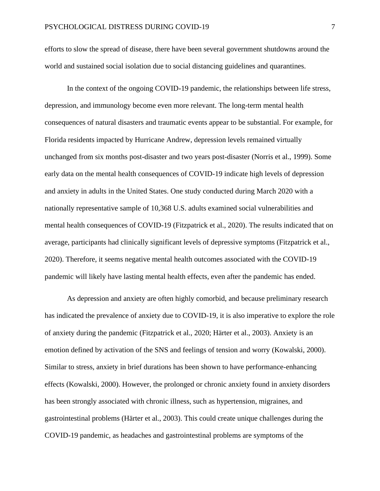efforts to slow the spread of disease, there have been several government shutdowns around the world and sustained social isolation due to social distancing guidelines and quarantines.

In the context of the ongoing COVID-19 pandemic, the relationships between life stress, depression, and immunology become even more relevant. The long-term mental health consequences of natural disasters and traumatic events appear to be substantial. For example, for Florida residents impacted by Hurricane Andrew, depression levels remained virtually unchanged from six months post-disaster and two years post-disaster (Norris et al., 1999). Some early data on the mental health consequences of COVID-19 indicate high levels of depression and anxiety in adults in the United States. One study conducted during March 2020 with a nationally representative sample of 10,368 U.S. adults examined social vulnerabilities and mental health consequences of COVID-19 (Fitzpatrick et al., 2020). The results indicated that on average, participants had clinically significant levels of depressive symptoms (Fitzpatrick et al., 2020). Therefore, it seems negative mental health outcomes associated with the COVID-19 pandemic will likely have lasting mental health effects, even after the pandemic has ended.

As depression and anxiety are often highly comorbid, and because preliminary research has indicated the prevalence of anxiety due to COVID-19, it is also imperative to explore the role of anxiety during the pandemic (Fitzpatrick et al., 2020; Härter et al., 2003). Anxiety is an emotion defined by activation of the SNS and feelings of tension and worry (Kowalski, 2000). Similar to stress, anxiety in brief durations has been shown to have performance-enhancing effects (Kowalski, 2000). However, the prolonged or chronic anxiety found in anxiety disorders has been strongly associated with chronic illness, such as hypertension, migraines, and gastrointestinal problems (Härter et al., 2003). This could create unique challenges during the COVID-19 pandemic, as headaches and gastrointestinal problems are symptoms of the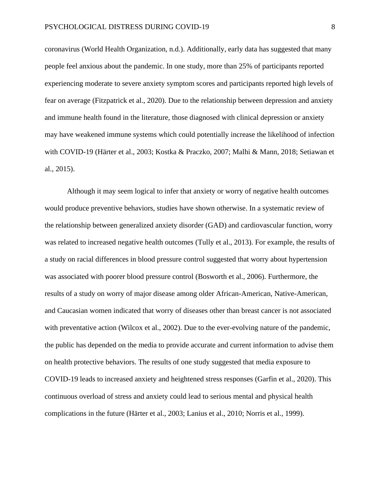coronavirus (World Health Organization, n.d.). Additionally, early data has suggested that many people feel anxious about the pandemic. In one study, more than 25% of participants reported experiencing moderate to severe anxiety symptom scores and participants reported high levels of fear on average (Fitzpatrick et al., 2020). Due to the relationship between depression and anxiety and immune health found in the literature, those diagnosed with clinical depression or anxiety may have weakened immune systems which could potentially increase the likelihood of infection with COVID-19 (Härter et al., 2003; Kostka & Praczko, 2007; Malhi & Mann, 2018; Setiawan et al., 2015).

Although it may seem logical to infer that anxiety or worry of negative health outcomes would produce preventive behaviors, studies have shown otherwise. In a systematic review of the relationship between generalized anxiety disorder (GAD) and cardiovascular function, worry was related to increased negative health outcomes (Tully et al., 2013). For example, the results of a study on racial differences in blood pressure control suggested that worry about hypertension was associated with poorer blood pressure control (Bosworth et al., 2006). Furthermore, the results of a study on worry of major disease among older African-American, Native-American, and Caucasian women indicated that worry of diseases other than breast cancer is not associated with preventative action (Wilcox et al., 2002). Due to the ever-evolving nature of the pandemic, the public has depended on the media to provide accurate and current information to advise them on health protective behaviors. The results of one study suggested that media exposure to COVID-19 leads to increased anxiety and heightened stress responses (Garfin et al., 2020). This continuous overload of stress and anxiety could lead to serious mental and physical health complications in the future (Härter et al., 2003; Lanius et al., 2010; Norris et al., 1999).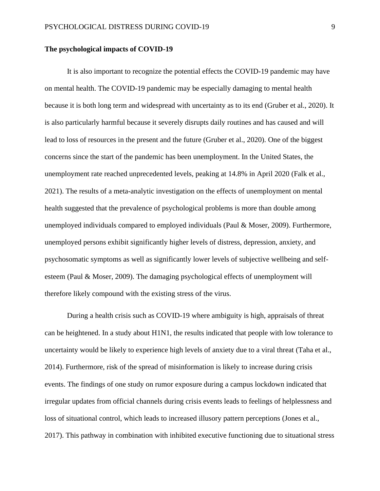#### **The psychological impacts of COVID-19**

It is also important to recognize the potential effects the COVID-19 pandemic may have on mental health. The COVID-19 pandemic may be especially damaging to mental health because it is both long term and widespread with uncertainty as to its end (Gruber et al., 2020). It is also particularly harmful because it severely disrupts daily routines and has caused and will lead to loss of resources in the present and the future (Gruber et al., 2020). One of the biggest concerns since the start of the pandemic has been unemployment. In the United States, the unemployment rate reached unprecedented levels, peaking at 14.8% in April 2020 (Falk et al., 2021). The results of a meta-analytic investigation on the effects of unemployment on mental health suggested that the prevalence of psychological problems is more than double among unemployed individuals compared to employed individuals (Paul & Moser, 2009). Furthermore, unemployed persons exhibit significantly higher levels of distress, depression, anxiety, and psychosomatic symptoms as well as significantly lower levels of subjective wellbeing and selfesteem (Paul & Moser, 2009). The damaging psychological effects of unemployment will therefore likely compound with the existing stress of the virus.

During a health crisis such as COVID-19 where ambiguity is high, appraisals of threat can be heightened. In a study about H1N1, the results indicated that people with low tolerance to uncertainty would be likely to experience high levels of anxiety due to a viral threat (Taha et al., 2014). Furthermore, risk of the spread of misinformation is likely to increase during crisis events. The findings of one study on rumor exposure during a campus lockdown indicated that irregular updates from official channels during crisis events leads to feelings of helplessness and loss of situational control, which leads to increased illusory pattern perceptions (Jones et al., 2017). This pathway in combination with inhibited executive functioning due to situational stress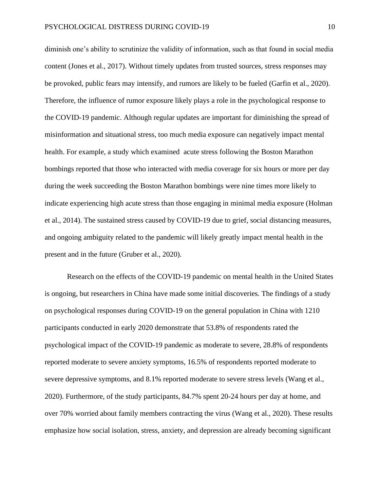diminish one's ability to scrutinize the validity of information, such as that found in social media content (Jones et al., 2017). Without timely updates from trusted sources, stress responses may be provoked, public fears may intensify, and rumors are likely to be fueled (Garfin et al., 2020). Therefore, the influence of rumor exposure likely plays a role in the psychological response to the COVID-19 pandemic. Although regular updates are important for diminishing the spread of misinformation and situational stress, too much media exposure can negatively impact mental health. For example, a study which examined acute stress following the Boston Marathon bombings reported that those who interacted with media coverage for six hours or more per day during the week succeeding the Boston Marathon bombings were nine times more likely to indicate experiencing high acute stress than those engaging in minimal media exposure (Holman et al., 2014). The sustained stress caused by COVID-19 due to grief, social distancing measures, and ongoing ambiguity related to the pandemic will likely greatly impact mental health in the present and in the future (Gruber et al., 2020).

Research on the effects of the COVID-19 pandemic on mental health in the United States is ongoing, but researchers in China have made some initial discoveries. The findings of a study on psychological responses during COVID-19 on the general population in China with 1210 participants conducted in early 2020 demonstrate that 53.8% of respondents rated the psychological impact of the COVID-19 pandemic as moderate to severe, 28.8% of respondents reported moderate to severe anxiety symptoms, 16.5% of respondents reported moderate to severe depressive symptoms, and 8.1% reported moderate to severe stress levels (Wang et al., 2020). Furthermore, of the study participants, 84.7% spent 20-24 hours per day at home, and over 70% worried about family members contracting the virus (Wang et al., 2020). These results emphasize how social isolation, stress, anxiety, and depression are already becoming significant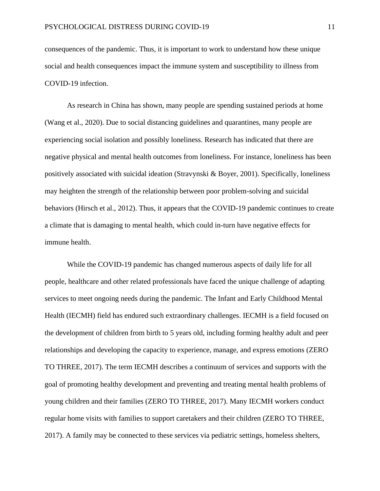consequences of the pandemic. Thus, it is important to work to understand how these unique social and health consequences impact the immune system and susceptibility to illness from COVID-19 infection.

As research in China has shown, many people are spending sustained periods at home (Wang et al., 2020). Due to social distancing guidelines and quarantines, many people are experiencing social isolation and possibly loneliness. Research has indicated that there are negative physical and mental health outcomes from loneliness. For instance, loneliness has been positively associated with suicidal ideation (Stravynski & Boyer, 2001). Specifically, loneliness may heighten the strength of the relationship between poor problem-solving and suicidal behaviors (Hirsch et al., 2012). Thus, it appears that the COVID-19 pandemic continues to create a climate that is damaging to mental health, which could in-turn have negative effects for immune health.

While the COVID-19 pandemic has changed numerous aspects of daily life for all people, healthcare and other related professionals have faced the unique challenge of adapting services to meet ongoing needs during the pandemic. The Infant and Early Childhood Mental Health (IECMH) field has endured such extraordinary challenges. IECMH is a field focused on the development of children from birth to 5 years old, including forming healthy adult and peer relationships and developing the capacity to experience, manage, and express emotions (ZERO TO THREE, 2017). The term IECMH describes a continuum of services and supports with the goal of promoting healthy development and preventing and treating mental health problems of young children and their families (ZERO TO THREE, 2017). Many IECMH workers conduct regular home visits with families to support caretakers and their children (ZERO TO THREE, 2017). A family may be connected to these services via pediatric settings, homeless shelters,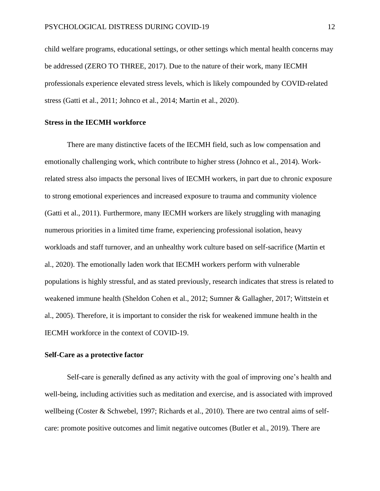child welfare programs, educational settings, or other settings which mental health concerns may be addressed (ZERO TO THREE, 2017). Due to the nature of their work, many IECMH professionals experience elevated stress levels, which is likely compounded by COVID-related stress (Gatti et al., 2011; Johnco et al., 2014; Martin et al., 2020).

#### **Stress in the IECMH workforce**

There are many distinctive facets of the IECMH field, such as low compensation and emotionally challenging work, which contribute to higher stress (Johnco et al., 2014). Workrelated stress also impacts the personal lives of IECMH workers, in part due to chronic exposure to strong emotional experiences and increased exposure to trauma and community violence (Gatti et al., 2011). Furthermore, many IECMH workers are likely struggling with managing numerous priorities in a limited time frame, experiencing professional isolation, heavy workloads and staff turnover, and an unhealthy work culture based on self-sacrifice (Martin et al., 2020). The emotionally laden work that IECMH workers perform with vulnerable populations is highly stressful, and as stated previously, research indicates that stress is related to weakened immune health (Sheldon Cohen et al., 2012; Sumner & Gallagher, 2017; Wittstein et al., 2005). Therefore, it is important to consider the risk for weakened immune health in the IECMH workforce in the context of COVID-19.

#### **Self-Care as a protective factor**

Self-care is generally defined as any activity with the goal of improving one's health and well-being, including activities such as meditation and exercise, and is associated with improved wellbeing (Coster & Schwebel, 1997; Richards et al., 2010). There are two central aims of selfcare: promote positive outcomes and limit negative outcomes (Butler et al., 2019). There are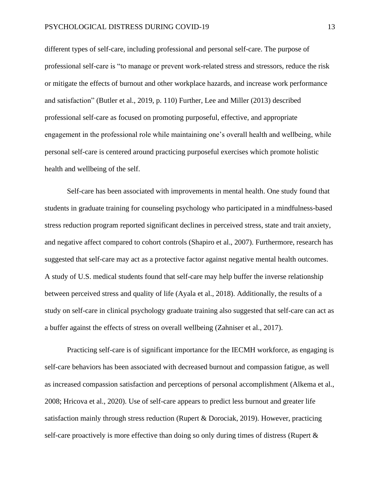different types of self-care, including professional and personal self-care. The purpose of professional self-care is "to manage or prevent work-related stress and stressors, reduce the risk or mitigate the effects of burnout and other workplace hazards, and increase work performance and satisfaction" (Butler et al., 2019, p. 110) Further, Lee and Miller (2013) described professional self-care as focused on promoting purposeful, effective, and appropriate engagement in the professional role while maintaining one's overall health and wellbeing, while personal self-care is centered around practicing purposeful exercises which promote holistic health and wellbeing of the self.

Self-care has been associated with improvements in mental health. One study found that students in graduate training for counseling psychology who participated in a mindfulness-based stress reduction program reported significant declines in perceived stress, state and trait anxiety, and negative affect compared to cohort controls (Shapiro et al., 2007). Furthermore, research has suggested that self-care may act as a protective factor against negative mental health outcomes. A study of U.S. medical students found that self-care may help buffer the inverse relationship between perceived stress and quality of life (Ayala et al., 2018). Additionally, the results of a study on self-care in clinical psychology graduate training also suggested that self-care can act as a buffer against the effects of stress on overall wellbeing (Zahniser et al., 2017).

Practicing self-care is of significant importance for the IECMH workforce, as engaging is self-care behaviors has been associated with decreased burnout and compassion fatigue, as well as increased compassion satisfaction and perceptions of personal accomplishment (Alkema et al., 2008; Hricova et al., 2020). Use of self-care appears to predict less burnout and greater life satisfaction mainly through stress reduction (Rupert & Dorociak, 2019). However, practicing self-care proactively is more effective than doing so only during times of distress (Rupert  $\&$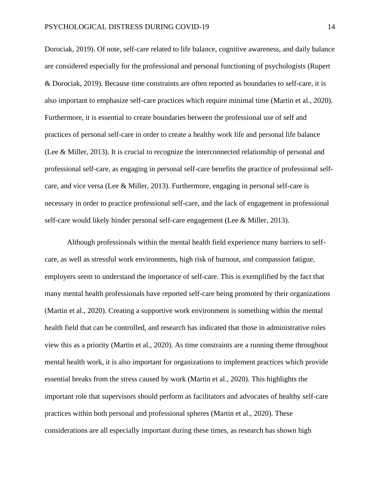Dorociak, 2019). Of note, self-care related to life balance, cognitive awareness, and daily balance are considered especially for the professional and personal functioning of psychologists (Rupert & Dorociak, 2019). Because time constraints are often reported as boundaries to self-care, it is also important to emphasize self-care practices which require minimal time (Martin et al., 2020). Furthermore, it is essential to create boundaries between the professional use of self and practices of personal self-care in order to create a healthy work life and personal life balance (Lee & Miller, 2013). It is crucial to recognize the interconnected relationship of personal and professional self-care, as engaging in personal self-care benefits the practice of professional selfcare, and vice versa (Lee & Miller, 2013). Furthermore, engaging in personal self-care is necessary in order to practice professional self-care, and the lack of engagement in professional self-care would likely hinder personal self-care engagement (Lee & Miller, 2013).

Although professionals within the mental health field experience many barriers to selfcare, as well as stressful work environments, high risk of burnout, and compassion fatigue, employers seem to understand the importance of self-care. This is exemplified by the fact that many mental health professionals have reported self-care being promoted by their organizations (Martin et al., 2020). Creating a supportive work environment is something within the mental health field that can be controlled, and research has indicated that those in administrative roles view this as a priority (Martin et al., 2020). As time constraints are a running theme throughout mental health work, it is also important for organizations to implement practices which provide essential breaks from the stress caused by work (Martin et al., 2020). This highlights the important role that supervisors should perform as facilitators and advocates of healthy self-care practices within both personal and professional spheres (Martin et al., 2020). These considerations are all especially important during these times, as research has shown high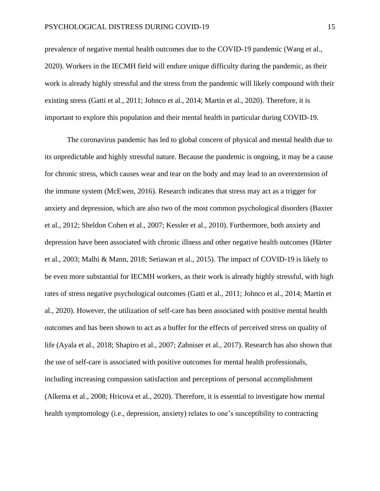prevalence of negative mental health outcomes due to the COVID-19 pandemic (Wang et al., 2020). Workers in the IECMH field will endure unique difficulty during the pandemic, as their work is already highly stressful and the stress from the pandemic will likely compound with their existing stress (Gatti et al., 2011; Johnco et al., 2014; Martin et al., 2020). Therefore, it is important to explore this population and their mental health in particular during COVID-19.

The coronavirus pandemic has led to global concern of physical and mental health due to its unpredictable and highly stressful nature. Because the pandemic is ongoing, it may be a cause for chronic stress, which causes wear and tear on the body and may lead to an overextension of the immune system (McEwen, 2016). Research indicates that stress may act as a trigger for anxiety and depression, which are also two of the most common psychological disorders (Baxter et al., 2012; Sheldon Cohen et al., 2007; Kessler et al., 2010). Furthermore, both anxiety and depression have been associated with chronic illness and other negative health outcomes (Härter et al., 2003; Malhi & Mann, 2018; Setiawan et al., 2015). The impact of COVID-19 is likely to be even more substantial for IECMH workers, as their work is already highly stressful, with high rates of stress negative psychological outcomes (Gatti et al., 2011; Johnco et al., 2014; Martin et al., 2020). However, the utilization of self-care has been associated with positive mental health outcomes and has been shown to act as a buffer for the effects of perceived stress on quality of life (Ayala et al., 2018; Shapiro et al., 2007; Zahniser et al., 2017). Research has also shown that the use of self-care is associated with positive outcomes for mental health professionals, including increasing compassion satisfaction and perceptions of personal accomplishment (Alkema et al., 2008; Hricova et al., 2020). Therefore, it is essential to investigate how mental health symptomology (i.e., depression, anxiety) relates to one's susceptibility to contracting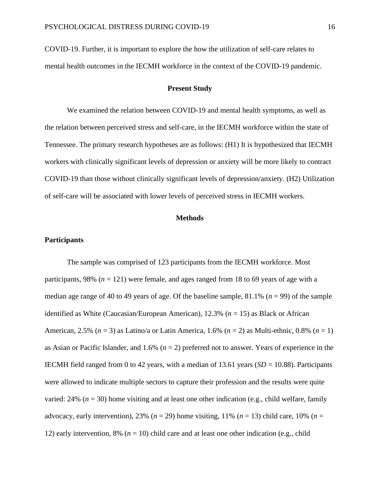COVID-19. Further, it is important to explore the how the utilization of self-care relates to mental health outcomes in the IECMH workforce in the context of the COVID-19 pandemic.

#### **Present Study**

We examined the relation between COVID-19 and mental health symptoms, as well as the relation between perceived stress and self-care, in the IECMH workforce within the state of Tennessee. The primary research hypotheses are as follows: (H1) It is hypothesized that IECMH workers with clinically significant levels of depression or anxiety will be more likely to contract COVID-19 than those without clinically significant levels of depression/anxiety. (H2) Utilization of self-care will be associated with lower levels of perceived stress in IECMH workers.

#### **Methods**

#### **Participants**

The sample was comprised of 123 participants from the IECMH workforce. Most participants, 98% ( $n = 121$ ) were female, and ages ranged from 18 to 69 years of age with a median age range of 40 to 49 years of age. Of the baseline sample, 81.1% (*n* = 99) of the sample identified as White (Caucasian/European American), 12.3% (*n* = 15) as Black or African American, 2.5% (*n* = 3) as Latino/a or Latin America, 1.6% (*n* = 2) as Multi-ethnic, 0.8% (*n* = 1) as Asian or Pacific Islander, and 1.6% (*n* = 2) preferred not to answer. Years of experience in the IECMH field ranged from 0 to 42 years, with a median of 13.61 years  $(SD = 10.88)$ . Participants were allowed to indicate multiple sectors to capture their profession and the results were quite varied:  $24\%$  ( $n = 30$ ) home visiting and at least one other indication (e.g., child welfare, family advocacy, early intervention), 23% ( $n = 29$ ) home visiting, 11% ( $n = 13$ ) child care, 10% ( $n =$ 12) early intervention, 8% ( $n = 10$ ) child care and at least one other indication (e.g., child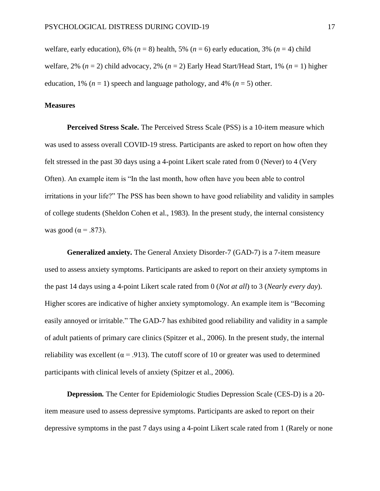welfare, early education), 6% ( $n = 8$ ) health, 5% ( $n = 6$ ) early education, 3% ( $n = 4$ ) child welfare, 2% (*n* = 2) child advocacy, 2% (*n* = 2) Early Head Start/Head Start, 1% (*n* = 1) higher education, 1% ( $n = 1$ ) speech and language pathology, and 4% ( $n = 5$ ) other.

#### **Measures**

**Perceived Stress Scale.** The Perceived Stress Scale (PSS) is a 10-item measure which was used to assess overall COVID-19 stress. Participants are asked to report on how often they felt stressed in the past 30 days using a 4-point Likert scale rated from 0 (Never) to 4 (Very Often). An example item is "In the last month, how often have you been able to control irritations in your life?" The PSS has been shown to have good reliability and validity in samples of college students (Sheldon Cohen et al., 1983). In the present study, the internal consistency was good ( $\alpha = .873$ ).

**Generalized anxiety***.* The General Anxiety Disorder-7 (GAD-7) is a 7-item measure used to assess anxiety symptoms. Participants are asked to report on their anxiety symptoms in the past 14 days using a 4-point Likert scale rated from 0 (*Not at all*) to 3 (*Nearly every day*). Higher scores are indicative of higher anxiety symptomology. An example item is "Becoming easily annoyed or irritable." The GAD-7 has exhibited good reliability and validity in a sample of adult patients of primary care clinics (Spitzer et al., 2006). In the present study, the internal reliability was excellent ( $\alpha$  = .913). The cutoff score of 10 or greater was used to determined participants with clinical levels of anxiety (Spitzer et al., 2006).

**Depression***.* The Center for Epidemiologic Studies Depression Scale (CES-D) is a 20 item measure used to assess depressive symptoms. Participants are asked to report on their depressive symptoms in the past 7 days using a 4-point Likert scale rated from 1 (Rarely or none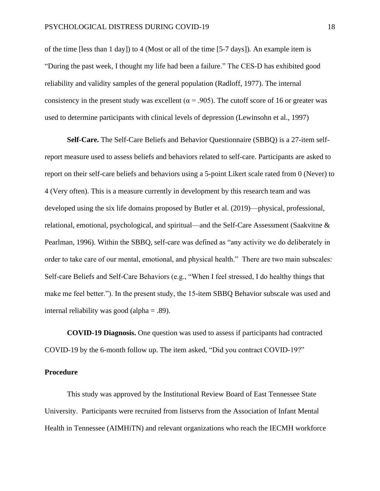of the time [less than 1 day]) to 4 (Most or all of the time [5-7 days])*.* An example item is "During the past week, I thought my life had been a failure." The CES-D has exhibited good reliability and validity samples of the general population (Radloff, 1977). The internal consistency in the present study was excellent ( $\alpha$  = .905). The cutoff score of 16 or greater was used to determine participants with clinical levels of depression (Lewinsohn et al., 1997)

**Self-Care.** The Self-Care Beliefs and Behavior Questionnaire (SBBQ) is a 27-item selfreport measure used to assess beliefs and behaviors related to self-care. Participants are asked to report on their self-care beliefs and behaviors using a 5-point Likert scale rated from 0 (Never) to 4 (Very often). This is a measure currently in development by this research team and was developed using the six life domains proposed by Butler et al. (2019)—physical, professional, relational, emotional, psychological, and spiritual—and the Self-Care Assessment (Saakvitne & Pearlman, 1996). Within the SBBQ, self-care was defined as "any activity we do deliberately in order to take care of our mental, emotional, and physical health." There are two main subscales: Self-care Beliefs and Self-Care Behaviors (e.g., "When I feel stressed, I do healthy things that make me feel better."). In the present study, the 15-item SBBQ Behavior subscale was used and internal reliability was good (alpha  $=$  .89).

**COVID-19 Diagnosis.** One question was used to assess if participants had contracted COVID-19 by the 6-month follow up. The item asked, "Did you contract COVID-19?"

#### **Procedure**

This study was approved by the Institutional Review Board of East Tennessee State University. Participants were recruited from listservs from the Association of Infant Mental Health in Tennessee (AIMHiTN) and relevant organizations who reach the IECMH workforce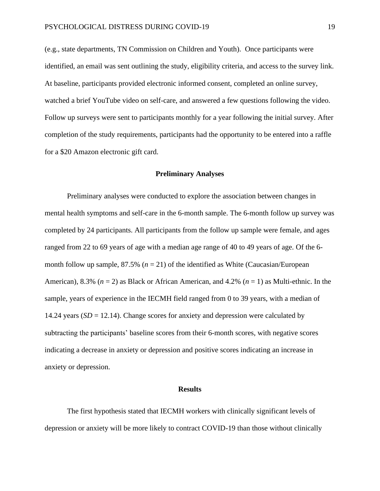(e.g., state departments, TN Commission on Children and Youth). Once participants were identified, an email was sent outlining the study, eligibility criteria, and access to the survey link. At baseline, participants provided electronic informed consent, completed an online survey, watched a brief YouTube video on self-care, and answered a few questions following the video. Follow up surveys were sent to participants monthly for a year following the initial survey. After completion of the study requirements, participants had the opportunity to be entered into a raffle for a \$20 Amazon electronic gift card.

#### **Preliminary Analyses**

Preliminary analyses were conducted to explore the association between changes in mental health symptoms and self-care in the 6-month sample. The 6-month follow up survey was completed by 24 participants. All participants from the follow up sample were female, and ages ranged from 22 to 69 years of age with a median age range of 40 to 49 years of age. Of the 6 month follow up sample,  $87.5\%$  ( $n = 21$ ) of the identified as White (Caucasian/European American), 8.3% (*n* = 2) as Black or African American, and 4.2% (*n* = 1) as Multi-ethnic. In the sample, years of experience in the IECMH field ranged from 0 to 39 years, with a median of 14.24 years  $(SD = 12.14)$ . Change scores for anxiety and depression were calculated by subtracting the participants' baseline scores from their 6-month scores, with negative scores indicating a decrease in anxiety or depression and positive scores indicating an increase in anxiety or depression.

#### **Results**

The first hypothesis stated that IECMH workers with clinically significant levels of depression or anxiety will be more likely to contract COVID-19 than those without clinically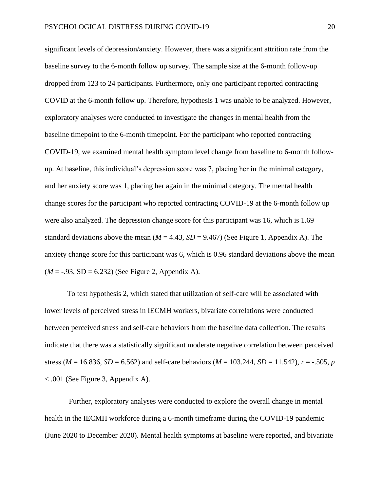significant levels of depression/anxiety. However, there was a significant attrition rate from the baseline survey to the 6-month follow up survey. The sample size at the 6-month follow-up dropped from 123 to 24 participants. Furthermore, only one participant reported contracting COVID at the 6-month follow up. Therefore, hypothesis 1 was unable to be analyzed. However, exploratory analyses were conducted to investigate the changes in mental health from the baseline timepoint to the 6-month timepoint. For the participant who reported contracting COVID-19, we examined mental health symptom level change from baseline to 6-month followup. At baseline, this individual's depression score was 7, placing her in the minimal category, and her anxiety score was 1, placing her again in the minimal category. The mental health change scores for the participant who reported contracting COVID-19 at the 6-month follow up were also analyzed. The depression change score for this participant was 16, which is 1.69 standard deviations above the mean  $(M = 4.43, SD = 9.467)$  (See Figure 1, Appendix A). The anxiety change score for this participant was 6, which is 0.96 standard deviations above the mean  $(M = -0.93, SD = 6.232)$  (See Figure 2, Appendix A).

To test hypothesis 2, which stated that utilization of self-care will be associated with lower levels of perceived stress in IECMH workers, bivariate correlations were conducted between perceived stress and self-care behaviors from the baseline data collection. The results indicate that there was a statistically significant moderate negative correlation between perceived stress ( $M = 16.836$ ,  $SD = 6.562$ ) and self-care behaviors ( $M = 103.244$ ,  $SD = 11.542$ ),  $r = -.505$ , *p* < .001 (See Figure 3, Appendix A).

Further, exploratory analyses were conducted to explore the overall change in mental health in the IECMH workforce during a 6-month timeframe during the COVID-19 pandemic (June 2020 to December 2020). Mental health symptoms at baseline were reported, and bivariate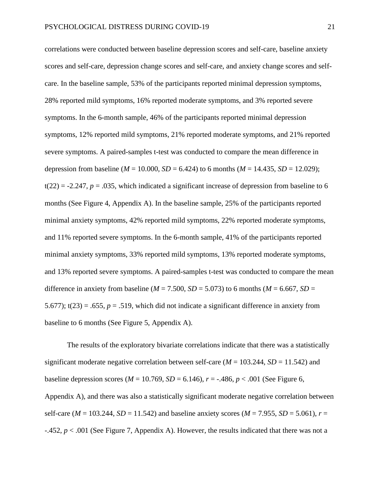correlations were conducted between baseline depression scores and self-care, baseline anxiety scores and self-care, depression change scores and self-care, and anxiety change scores and selfcare. In the baseline sample, 53% of the participants reported minimal depression symptoms, 28% reported mild symptoms, 16% reported moderate symptoms, and 3% reported severe symptoms. In the 6-month sample, 46% of the participants reported minimal depression symptoms, 12% reported mild symptoms, 21% reported moderate symptoms, and 21% reported severe symptoms. A paired-samples t-test was conducted to compare the mean difference in depression from baseline ( $M = 10.000$ ,  $SD = 6.424$ ) to 6 months ( $M = 14.435$ ,  $SD = 12.029$ );  $t(22) = -2.247$ ,  $p = .035$ , which indicated a significant increase of depression from baseline to 6 months (See Figure 4, Appendix A). In the baseline sample, 25% of the participants reported minimal anxiety symptoms, 42% reported mild symptoms, 22% reported moderate symptoms, and 11% reported severe symptoms. In the 6-month sample, 41% of the participants reported minimal anxiety symptoms, 33% reported mild symptoms, 13% reported moderate symptoms, and 13% reported severe symptoms. A paired-samples t-test was conducted to compare the mean difference in anxiety from baseline ( $M = 7.500$ ,  $SD = 5.073$ ) to 6 months ( $M = 6.667$ ,  $SD =$ 5.677);  $t(23) = .655$ ,  $p = .519$ , which did not indicate a significant difference in anxiety from baseline to 6 months (See Figure 5, Appendix A).

The results of the exploratory bivariate correlations indicate that there was a statistically significant moderate negative correlation between self-care ( $M = 103.244$ ,  $SD = 11.542$ ) and baseline depression scores ( $M = 10.769$ ,  $SD = 6.146$ ),  $r = -0.486$ ,  $p < 0.001$  (See Figure 6, Appendix A), and there was also a statistically significant moderate negative correlation between self-care ( $M = 103.244$ ,  $SD = 11.542$ ) and baseline anxiety scores ( $M = 7.955$ ,  $SD = 5.061$ ),  $r =$ -.452, *p* < .001 (See Figure 7, Appendix A). However, the results indicated that there was not a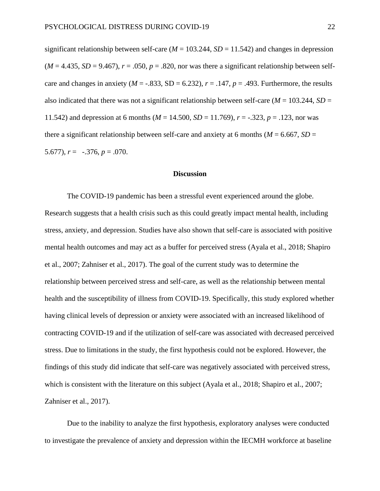significant relationship between self-care ( $M = 103.244$ ,  $SD = 11.542$ ) and changes in depression  $(M = 4.435, SD = 9.467)$ ,  $r = .050, p = .820$ , nor was there a significant relationship between selfcare and changes in anxiety ( $M = -.833$ , SD = 6.232),  $r = .147$ ,  $p = .493$ . Furthermore, the results also indicated that there was not a significant relationship between self-care ( $M = 103.244$ ,  $SD =$ 11.542) and depression at 6 months ( $M = 14.500$ ,  $SD = 11.769$ ),  $r = -.323$ ,  $p = .123$ , nor was there a significant relationship between self-care and anxiety at 6 months ( $M = 6.667$ ,  $SD =$ 5.677),  $r = -.376$ ,  $p = .070$ .

#### **Discussion**

The COVID-19 pandemic has been a stressful event experienced around the globe. Research suggests that a health crisis such as this could greatly impact mental health, including stress, anxiety, and depression. Studies have also shown that self-care is associated with positive mental health outcomes and may act as a buffer for perceived stress (Ayala et al., 2018; Shapiro et al., 2007; Zahniser et al., 2017). The goal of the current study was to determine the relationship between perceived stress and self-care, as well as the relationship between mental health and the susceptibility of illness from COVID-19. Specifically, this study explored whether having clinical levels of depression or anxiety were associated with an increased likelihood of contracting COVID-19 and if the utilization of self-care was associated with decreased perceived stress. Due to limitations in the study, the first hypothesis could not be explored. However, the findings of this study did indicate that self-care was negatively associated with perceived stress, which is consistent with the literature on this subject (Ayala et al., 2018; Shapiro et al., 2007; Zahniser et al., 2017).

Due to the inability to analyze the first hypothesis, exploratory analyses were conducted to investigate the prevalence of anxiety and depression within the IECMH workforce at baseline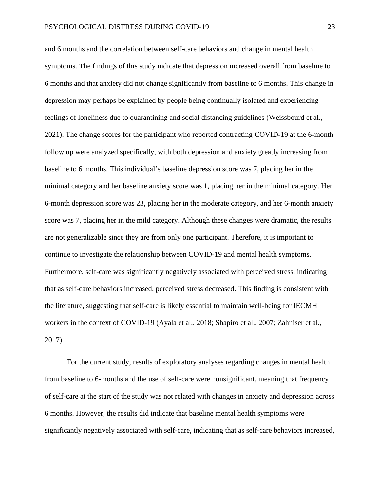and 6 months and the correlation between self-care behaviors and change in mental health symptoms. The findings of this study indicate that depression increased overall from baseline to 6 months and that anxiety did not change significantly from baseline to 6 months. This change in depression may perhaps be explained by people being continually isolated and experiencing feelings of loneliness due to quarantining and social distancing guidelines (Weissbourd et al., 2021). The change scores for the participant who reported contracting COVID-19 at the 6-month follow up were analyzed specifically, with both depression and anxiety greatly increasing from baseline to 6 months. This individual's baseline depression score was 7, placing her in the minimal category and her baseline anxiety score was 1, placing her in the minimal category. Her 6-month depression score was 23, placing her in the moderate category, and her 6-month anxiety score was 7, placing her in the mild category. Although these changes were dramatic, the results are not generalizable since they are from only one participant. Therefore, it is important to continue to investigate the relationship between COVID-19 and mental health symptoms. Furthermore, self-care was significantly negatively associated with perceived stress, indicating that as self-care behaviors increased, perceived stress decreased. This finding is consistent with the literature, suggesting that self-care is likely essential to maintain well-being for IECMH workers in the context of COVID-19 (Ayala et al., 2018; Shapiro et al., 2007; Zahniser et al., 2017).

For the current study, results of exploratory analyses regarding changes in mental health from baseline to 6-months and the use of self-care were nonsignificant, meaning that frequency of self-care at the start of the study was not related with changes in anxiety and depression across 6 months. However, the results did indicate that baseline mental health symptoms were significantly negatively associated with self-care, indicating that as self-care behaviors increased,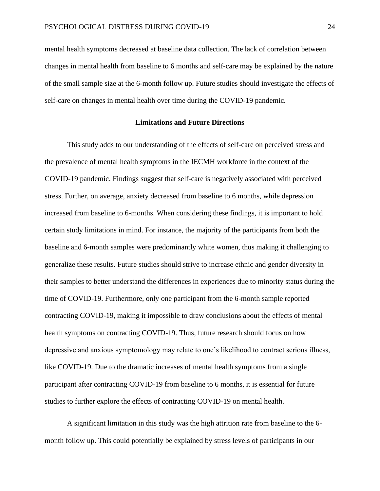mental health symptoms decreased at baseline data collection. The lack of correlation between changes in mental health from baseline to 6 months and self-care may be explained by the nature of the small sample size at the 6-month follow up. Future studies should investigate the effects of self-care on changes in mental health over time during the COVID-19 pandemic.

#### **Limitations and Future Directions**

This study adds to our understanding of the effects of self-care on perceived stress and the prevalence of mental health symptoms in the IECMH workforce in the context of the COVID-19 pandemic. Findings suggest that self-care is negatively associated with perceived stress. Further, on average, anxiety decreased from baseline to 6 months, while depression increased from baseline to 6-months. When considering these findings, it is important to hold certain study limitations in mind. For instance, the majority of the participants from both the baseline and 6-month samples were predominantly white women, thus making it challenging to generalize these results. Future studies should strive to increase ethnic and gender diversity in their samples to better understand the differences in experiences due to minority status during the time of COVID-19. Furthermore, only one participant from the 6-month sample reported contracting COVID-19, making it impossible to draw conclusions about the effects of mental health symptoms on contracting COVID-19. Thus, future research should focus on how depressive and anxious symptomology may relate to one's likelihood to contract serious illness, like COVID-19. Due to the dramatic increases of mental health symptoms from a single participant after contracting COVID-19 from baseline to 6 months, it is essential for future studies to further explore the effects of contracting COVID-19 on mental health.

A significant limitation in this study was the high attrition rate from baseline to the 6 month follow up. This could potentially be explained by stress levels of participants in our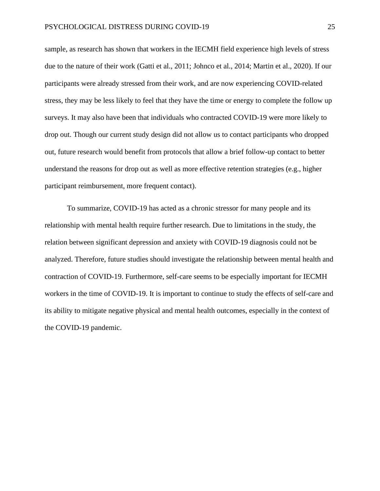sample, as research has shown that workers in the IECMH field experience high levels of stress due to the nature of their work (Gatti et al., 2011; Johnco et al., 2014; Martin et al., 2020). If our participants were already stressed from their work, and are now experiencing COVID-related stress, they may be less likely to feel that they have the time or energy to complete the follow up surveys. It may also have been that individuals who contracted COVID-19 were more likely to drop out. Though our current study design did not allow us to contact participants who dropped out, future research would benefit from protocols that allow a brief follow-up contact to better understand the reasons for drop out as well as more effective retention strategies (e.g., higher participant reimbursement, more frequent contact).

To summarize, COVID-19 has acted as a chronic stressor for many people and its relationship with mental health require further research. Due to limitations in the study, the relation between significant depression and anxiety with COVID-19 diagnosis could not be analyzed. Therefore, future studies should investigate the relationship between mental health and contraction of COVID-19. Furthermore, self-care seems to be especially important for IECMH workers in the time of COVID-19. It is important to continue to study the effects of self-care and its ability to mitigate negative physical and mental health outcomes, especially in the context of the COVID-19 pandemic.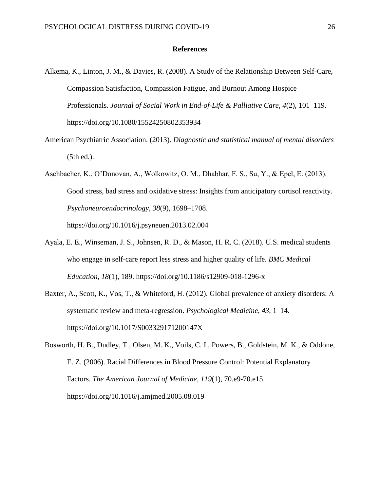#### **References**

- Alkema, K., Linton, J. M., & Davies, R. (2008). A Study of the Relationship Between Self-Care, Compassion Satisfaction, Compassion Fatigue, and Burnout Among Hospice Professionals. *Journal of Social Work in End-of-Life & Palliative Care*, *4*(2), 101–119. https://doi.org/10.1080/15524250802353934
- American Psychiatric Association. (2013). *Diagnostic and statistical manual of mental disorders* (5th ed.).
- Aschbacher, K., O'Donovan, A., Wolkowitz, O. M., Dhabhar, F. S., Su, Y., & Epel, E. (2013). Good stress, bad stress and oxidative stress: Insights from anticipatory cortisol reactivity. *Psychoneuroendocrinology*, *38*(9), 1698–1708. https://doi.org/10.1016/j.psyneuen.2013.02.004
- Ayala, E. E., Winseman, J. S., Johnsen, R. D., & Mason, H. R. C. (2018). U.S. medical students who engage in self-care report less stress and higher quality of life. *BMC Medical Education*, *18*(1), 189. https://doi.org/10.1186/s12909-018-1296-x
- Baxter, A., Scott, K., Vos, T., & Whiteford, H. (2012). Global prevalence of anxiety disorders: A systematic review and meta-regression. *Psychological Medicine*, *43*, 1–14. https://doi.org/10.1017/S003329171200147X

Bosworth, H. B., Dudley, T., Olsen, M. K., Voils, C. I., Powers, B., Goldstein, M. K., & Oddone, E. Z. (2006). Racial Differences in Blood Pressure Control: Potential Explanatory Factors. *The American Journal of Medicine*, *119*(1), 70.e9-70.e15. https://doi.org/10.1016/j.amjmed.2005.08.019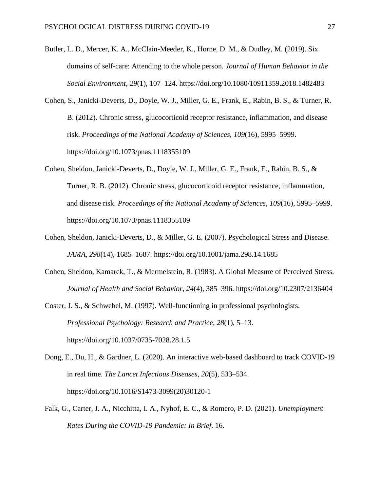- Butler, L. D., Mercer, K. A., McClain-Meeder, K., Horne, D. M., & Dudley, M. (2019). Six domains of self-care: Attending to the whole person. *Journal of Human Behavior in the Social Environment*, *29*(1), 107–124. https://doi.org/10.1080/10911359.2018.1482483
- Cohen, S., Janicki-Deverts, D., Doyle, W. J., Miller, G. E., Frank, E., Rabin, B. S., & Turner, R. B. (2012). Chronic stress, glucocorticoid receptor resistance, inflammation, and disease risk. *Proceedings of the National Academy of Sciences*, *109*(16), 5995–5999. https://doi.org/10.1073/pnas.1118355109
- Cohen, Sheldon, Janicki-Deverts, D., Doyle, W. J., Miller, G. E., Frank, E., Rabin, B. S., & Turner, R. B. (2012). Chronic stress, glucocorticoid receptor resistance, inflammation, and disease risk. *Proceedings of the National Academy of Sciences*, *109*(16), 5995–5999. https://doi.org/10.1073/pnas.1118355109
- Cohen, Sheldon, Janicki-Deverts, D., & Miller, G. E. (2007). Psychological Stress and Disease. *JAMA*, *298*(14), 1685–1687. https://doi.org/10.1001/jama.298.14.1685
- Cohen, Sheldon, Kamarck, T., & Mermelstein, R. (1983). A Global Measure of Perceived Stress. *Journal of Health and Social Behavior*, *24*(4), 385–396. https://doi.org/10.2307/2136404
- Coster, J. S., & Schwebel, M. (1997). Well-functioning in professional psychologists. *Professional Psychology: Research and Practice*, *28*(1), 5–13. https://doi.org/10.1037/0735-7028.28.1.5
- Dong, E., Du, H., & Gardner, L. (2020). An interactive web-based dashboard to track COVID-19 in real time. *The Lancet Infectious Diseases*, *20*(5), 533–534. https://doi.org/10.1016/S1473-3099(20)30120-1
- Falk, G., Carter, J. A., Nicchitta, I. A., Nyhof, E. C., & Romero, P. D. (2021). *Unemployment Rates During the COVID-19 Pandemic: In Brief*. 16.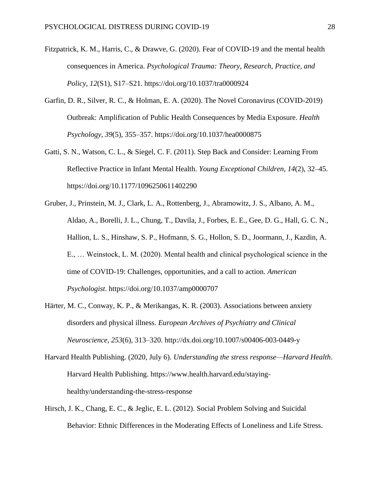- Fitzpatrick, K. M., Harris, C., & Drawve, G. (2020). Fear of COVID-19 and the mental health consequences in America. *Psychological Trauma: Theory, Research, Practice, and Policy*, *12*(S1), S17–S21. https://doi.org/10.1037/tra0000924
- Garfin, D. R., Silver, R. C., & Holman, E. A. (2020). The Novel Coronavirus (COVID-2019) Outbreak: Amplification of Public Health Consequences by Media Exposure. *Health Psychology*, *39*(5), 355–357. https://doi.org/10.1037/hea0000875
- Gatti, S. N., Watson, C. L., & Siegel, C. F. (2011). Step Back and Consider: Learning From Reflective Practice in Infant Mental Health. *Young Exceptional Children*, *14*(2), 32–45. https://doi.org/10.1177/1096250611402290
- Gruber, J., Prinstein, M. J., Clark, L. A., Rottenberg, J., Abramowitz, J. S., Albano, A. M., Aldao, A., Borelli, J. L., Chung, T., Davila, J., Forbes, E. E., Gee, D. G., Hall, G. C. N., Hallion, L. S., Hinshaw, S. P., Hofmann, S. G., Hollon, S. D., Joormann, J., Kazdin, A. E., … Weinstock, L. M. (2020). Mental health and clinical psychological science in the time of COVID-19: Challenges, opportunities, and a call to action. *American Psychologist*. https://doi.org/10.1037/amp0000707
- Härter, M. C., Conway, K. P., & Merikangas, K. R. (2003). Associations between anxiety disorders and physical illness. *European Archives of Psychiatry and Clinical Neuroscience*, *253*(6), 313–320. http://dx.doi.org/10.1007/s00406-003-0449-y
- Harvard Health Publishing. (2020, July 6). *Understanding the stress response—Harvard Health*. Harvard Health Publishing. https://www.health.harvard.edu/stayinghealthy/understanding-the-stress-response
- Hirsch, J. K., Chang, E. C., & Jeglic, E. L. (2012). Social Problem Solving and Suicidal Behavior: Ethnic Differences in the Moderating Effects of Loneliness and Life Stress.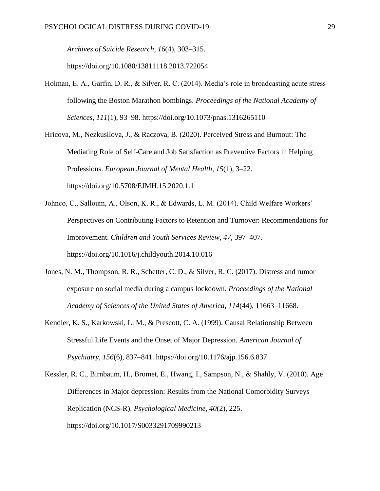*Archives of Suicide Research*, *16*(4), 303–315.

https://doi.org/10.1080/13811118.2013.722054

Holman, E. A., Garfin, D. R., & Silver, R. C. (2014). Media's role in broadcasting acute stress following the Boston Marathon bombings. *Proceedings of the National Academy of Sciences*, *111*(1), 93–98. https://doi.org/10.1073/pnas.1316265110

Hricova, M., Nezkusilova, J., & Raczova, B. (2020). Perceived Stress and Burnout: The Mediating Role of Self-Care and Job Satisfaction as Preventive Factors in Helping Professions. *European Journal of Mental Health*, *15*(1), 3–22. https://doi.org/10.5708/EJMH.15.2020.1.1

- Johnco, C., Salloum, A., Olson, K. R., & Edwards, L. M. (2014). Child Welfare Workers' Perspectives on Contributing Factors to Retention and Turnover: Recommendations for Improvement. *Children and Youth Services Review*, *47*, 397–407. https://doi.org/10.1016/j.childyouth.2014.10.016
- Jones, N. M., Thompson, R. R., Schetter, C. D., & Silver, R. C. (2017). Distress and rumor exposure on social media during a campus lockdown. *Proceedings of the National Academy of Sciences of the United States of America*, *114*(44), 11663–11668.
- Kendler, K. S., Karkowski, L. M., & Prescott, C. A. (1999). Causal Relationship Between Stressful Life Events and the Onset of Major Depression. *American Journal of Psychiatry*, *156*(6), 837–841. https://doi.org/10.1176/ajp.156.6.837
- Kessler, R. C., Birnbaum, H., Bromet, E., Hwang, I., Sampson, N., & Shahly, V. (2010). Age Differences in Major depression: Results from the National Comorbidity Surveys Replication (NCS-R). *Psychological Medicine*, *40*(2), 225. https://doi.org/10.1017/S0033291709990213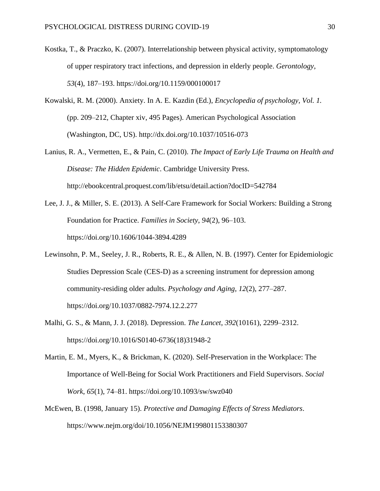- Kostka, T., & Praczko, K. (2007). Interrelationship between physical activity, symptomatology of upper respiratory tract infections, and depression in elderly people. *Gerontology*, *53*(4), 187–193. https://doi.org/10.1159/000100017
- Kowalski, R. M. (2000). Anxiety. In A. E. Kazdin (Ed.), *Encyclopedia of psychology, Vol. 1.* (pp. 209–212, Chapter xiv, 495 Pages). American Psychological Association (Washington, DC, US). http://dx.doi.org/10.1037/10516-073
- Lanius, R. A., Vermetten, E., & Pain, C. (2010). *The Impact of Early Life Trauma on Health and Disease: The Hidden Epidemic*. Cambridge University Press. http://ebookcentral.proquest.com/lib/etsu/detail.action?docID=542784
- Lee, J. J., & Miller, S. E. (2013). A Self-Care Framework for Social Workers: Building a Strong Foundation for Practice. *Families in Society*, *94*(2), 96–103. https://doi.org/10.1606/1044-3894.4289
- Lewinsohn, P. M., Seeley, J. R., Roberts, R. E., & Allen, N. B. (1997). Center for Epidemiologic Studies Depression Scale (CES-D) as a screening instrument for depression among community-residing older adults. *Psychology and Aging*, *12*(2), 277–287. https://doi.org/10.1037/0882-7974.12.2.277
- Malhi, G. S., & Mann, J. J. (2018). Depression. *The Lancet*, *392*(10161), 2299–2312. https://doi.org/10.1016/S0140-6736(18)31948-2
- Martin, E. M., Myers, K., & Brickman, K. (2020). Self-Preservation in the Workplace: The Importance of Well-Being for Social Work Practitioners and Field Supervisors. *Social Work*, *65*(1), 74–81. https://doi.org/10.1093/sw/swz040
- McEwen, B. (1998, January 15). *Protective and Damaging Effects of Stress Mediators*. https://www.nejm.org/doi/10.1056/NEJM199801153380307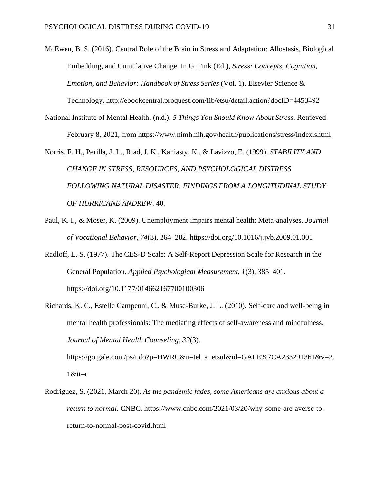McEwen, B. S. (2016). Central Role of the Brain in Stress and Adaptation: Allostasis, Biological Embedding, and Cumulative Change. In G. Fink (Ed.), *Stress: Concepts, Cognition, Emotion, and Behavior: Handbook of Stress Series* (Vol. 1). Elsevier Science &

Technology. http://ebookcentral.proquest.com/lib/etsu/detail.action?docID=4453492

National Institute of Mental Health. (n.d.). *5 Things You Should Know About Stress*. Retrieved February 8, 2021, from https://www.nimh.nih.gov/health/publications/stress/index.shtml

Norris, F. H., Perilla, J. L., Riad, J. K., Kaniasty, K., & Lavizzo, E. (1999). *STABILITY AND CHANGE IN STRESS, RESOURCES, AND PSYCHOLOGICAL DISTRESS FOLLOWING NATURAL DISASTER: FINDINGS FROM A LONGITUDINAL STUDY OF HURRICANE ANDREW*. 40.

- Paul, K. I., & Moser, K. (2009). Unemployment impairs mental health: Meta-analyses. *Journal of Vocational Behavior*, *74*(3), 264–282. https://doi.org/10.1016/j.jvb.2009.01.001
- Radloff, L. S. (1977). The CES-D Scale: A Self-Report Depression Scale for Research in the General Population. *Applied Psychological Measurement*, *1*(3), 385–401. https://doi.org/10.1177/014662167700100306
- Richards, K. C., Estelle Campenni, C., & Muse-Burke, J. L. (2010). Self-care and well-being in mental health professionals: The mediating effects of self-awareness and mindfulness. *Journal of Mental Health Counseling*, *32*(3).

https://go.gale.com/ps/i.do?p=HWRC&u=tel\_a\_etsul&id=GALE%7CA233291361&v=2.  $1$ &it= $r$ 

Rodriguez, S. (2021, March 20). *As the pandemic fades, some Americans are anxious about a return to normal*. CNBC. https://www.cnbc.com/2021/03/20/why-some-are-averse-toreturn-to-normal-post-covid.html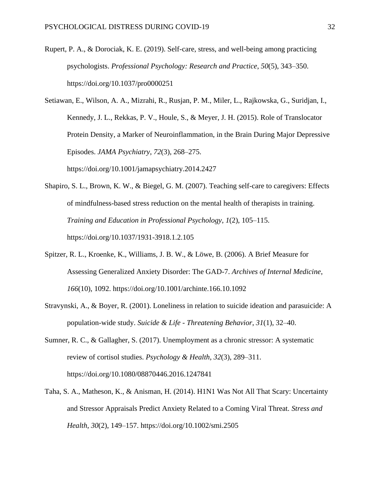- Rupert, P. A., & Dorociak, K. E. (2019). Self-care, stress, and well-being among practicing psychologists. *Professional Psychology: Research and Practice*, *50*(5), 343–350. https://doi.org/10.1037/pro0000251
- Setiawan, E., Wilson, A. A., Mizrahi, R., Rusjan, P. M., Miler, L., Rajkowska, G., Suridjan, I., Kennedy, J. L., Rekkas, P. V., Houle, S., & Meyer, J. H. (2015). Role of Translocator Protein Density, a Marker of Neuroinflammation, in the Brain During Major Depressive Episodes. *JAMA Psychiatry*, *72*(3), 268–275. https://doi.org/10.1001/jamapsychiatry.2014.2427
- Shapiro, S. L., Brown, K. W., & Biegel, G. M. (2007). Teaching self-care to caregivers: Effects of mindfulness-based stress reduction on the mental health of therapists in training. *Training and Education in Professional Psychology*, *1*(2), 105–115. https://doi.org/10.1037/1931-3918.1.2.105
- Spitzer, R. L., Kroenke, K., Williams, J. B. W., & Löwe, B. (2006). A Brief Measure for Assessing Generalized Anxiety Disorder: The GAD-7. *Archives of Internal Medicine*, *166*(10), 1092. https://doi.org/10.1001/archinte.166.10.1092
- Stravynski, A., & Boyer, R. (2001). Loneliness in relation to suicide ideation and parasuicide: A population-wide study. *Suicide & Life - Threatening Behavior*, *31*(1), 32–40.
- Sumner, R. C., & Gallagher, S. (2017). Unemployment as a chronic stressor: A systematic review of cortisol studies. *Psychology & Health*, *32*(3), 289–311. https://doi.org/10.1080/08870446.2016.1247841
- Taha, S. A., Matheson, K., & Anisman, H. (2014). H1N1 Was Not All That Scary: Uncertainty and Stressor Appraisals Predict Anxiety Related to a Coming Viral Threat. *Stress and Health*, *30*(2), 149–157. https://doi.org/10.1002/smi.2505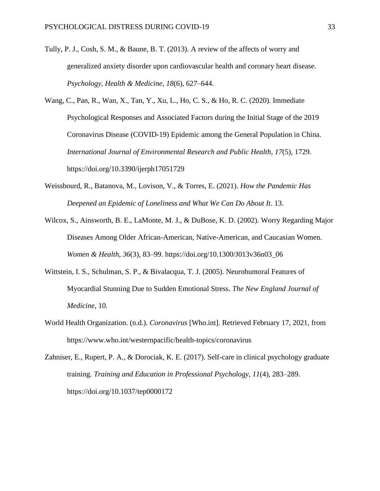- Tully, P. J., Cosh, S. M., & Baune, B. T. (2013). A review of the affects of worry and generalized anxiety disorder upon cardiovascular health and coronary heart disease. *Psychology, Health & Medicine*, *18*(6), 627–644.
- Wang, C., Pan, R., Wan, X., Tan, Y., Xu, L., Ho, C. S., & Ho, R. C. (2020). Immediate Psychological Responses and Associated Factors during the Initial Stage of the 2019 Coronavirus Disease (COVID-19) Epidemic among the General Population in China. *International Journal of Environmental Research and Public Health*, *17*(5), 1729. https://doi.org/10.3390/ijerph17051729
- Weissbourd, R., Batanova, M., Lovison, V., & Torres, E. (2021). *How the Pandemic Has Deepened an Epidemic of Loneliness and What We Can Do About It*. 13.
- Wilcox, S., Ainsworth, B. E., LaMonte, M. J., & DuBose, K. D. (2002). Worry Regarding Major Diseases Among Older African-American, Native-American, and Caucasian Women. *Women & Health*, *36*(3), 83–99. https://doi.org/10.1300/J013v36n03\_06
- Wittstein, I. S., Schulman, S. P., & Bivalacqua, T. J. (2005). Neurohumoral Features of Myocardial Stunning Due to Sudden Emotional Stress. *The New England Journal of Medicine*, 10.
- World Health Organization. (n.d.). *Coronavirus* [Who.int]. Retrieved February 17, 2021, from https://www.who.int/westernpacific/health-topics/coronavirus
- Zahniser, E., Rupert, P. A., & Dorociak, K. E. (2017). Self-care in clinical psychology graduate training. *Training and Education in Professional Psychology*, *11*(4), 283–289. https://doi.org/10.1037/tep0000172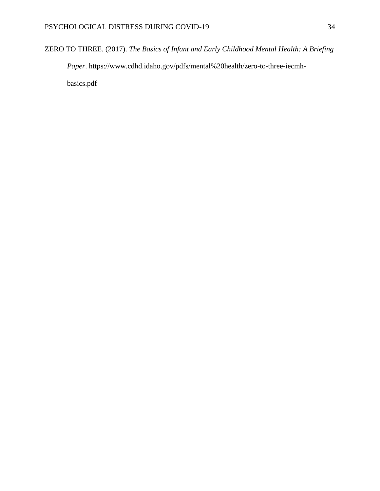ZERO TO THREE. (2017). *The Basics of Infant and Early Childhood Mental Health: A Briefing* 

*Paper*. https://www.cdhd.idaho.gov/pdfs/mental%20health/zero-to-three-iecmh-

basics.pdf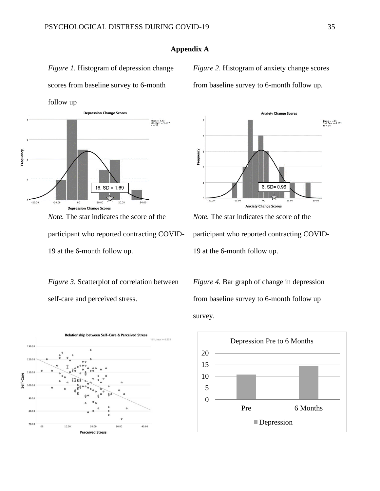**Appendix A**

## *Figure 1*. Histogram of depression change

scores from baseline survey to 6-month

follow up



*Note.* The star indicates the score of the participant who reported contracting COVID-19 at the 6-month follow up.

*Figure 3*. Scatterplot of correlation between self-care and perceived stress.



*Figure 2*. Histogram of anxiety change scores

from baseline survey to 6-month follow up.



*Note.* The star indicates the score of the participant who reported contracting COVID-19 at the 6-month follow up.

*Figure 4.* Bar graph of change in depression from baseline survey to 6-month follow up survey.